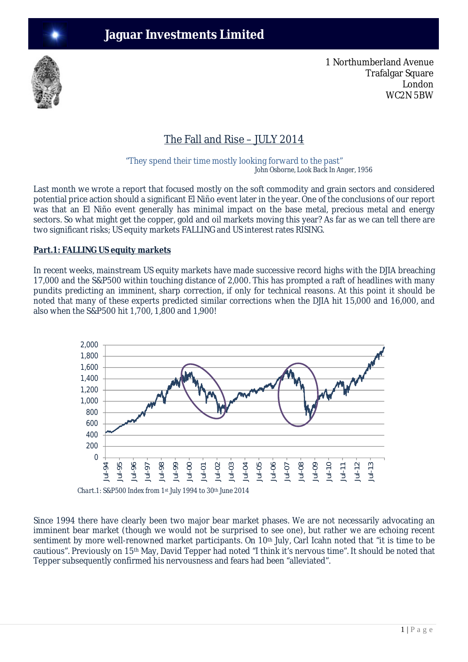

1 Northumberland Avenue Trafalgar Square London WC2N 5BW

# The Fall and Rise – JULY 2014

"They spend their time mostly looking forward to the past"  *John Osborne, Look Back In Anger, 1956*

Last month we wrote a report that focused mostly on the soft commodity and grain sectors and considered potential price action should a significant El Niño event later in the year. One of the conclusions of our report was that an El Niño event generally has minimal impact on the base metal, precious metal and energy sectors. So what might get the copper, gold and oil markets moving this year? As far as we can tell there are two significant risks; US equity markets FALLING and US interest rates RISING.

## **Part.1: FALLING US equity markets**

In recent weeks, mainstream US equity markets have made successive record highs with the DJIA breaching 17,000 and the S&P500 within touching distance of 2,000. This has prompted a raft of headlines with many pundits predicting an imminent, sharp correction, if only for technical reasons. At this point it should be noted that many of these experts predicted similar corrections when the DJIA hit 15,000 and 16,000, and also when the S&P500 hit 1,700, 1,800 and 1,900!



*Chart.1: S&P500 Index from 1st July 1994 to 30th June 2014* 

Since 1994 there have clearly been two major bear market phases. We are not necessarily advocating an imminent bear market (though we would not be surprised to see one), but rather we are echoing recent sentiment by more well-renowned market participants. On 10<sup>th</sup> July, Carl Icahn noted that "it is time to be cautious". Previously on 15th May, David Tepper had noted "I think it's nervous time". It should be noted that Tepper subsequently confirmed his nervousness and fears had been "alleviated".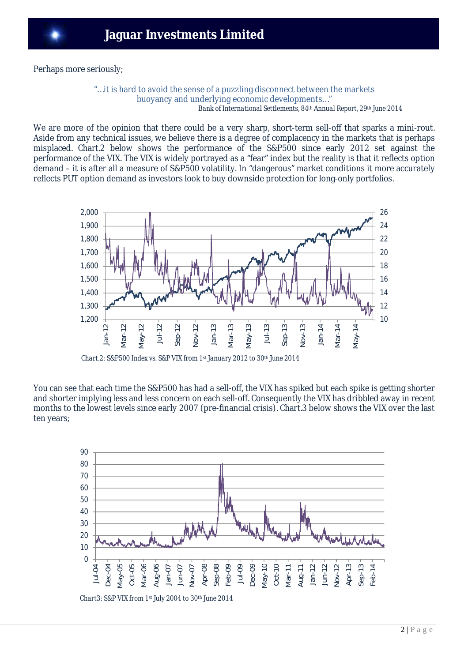Perhaps more seriously;

#### "…it is hard to avoid the sense of a puzzling disconnect between the markets buoyancy and underlying economic developments…" *Bank of International Settlements, 84th Annual Report, 29th June 2014*

We are more of the opinion that there could be a very sharp, short-term sell-off that sparks a mini-rout. Aside from any technical issues, we believe there is a degree of complacency in the markets that is perhaps misplaced. Chart.2 below shows the performance of the S&P500 since early 2012 set against the performance of the VIX. The VIX is widely portrayed as a "fear" index but the reality is that it reflects option demand – it is after all a measure of S&P500 volatility. In "dangerous" market conditions it more accurately reflects PUT option demand as investors look to buy downside protection for long-only portfolios.



*Chart.2: S&P500 Index vs. S&P VIX from 1st January 2012 to 30th June 2014*

You can see that each time the S&P500 has had a sell-off, the VIX has spiked but each spike is getting shorter and shorter implying less and less concern on each sell-off. Consequently the VIX has dribbled away in recent months to the lowest levels since early 2007 (pre-financial crisis). Chart.3 below shows the VIX over the last ten years;



 *Chart3: S&P VIX from 1st July 2004 to 30th June 2014*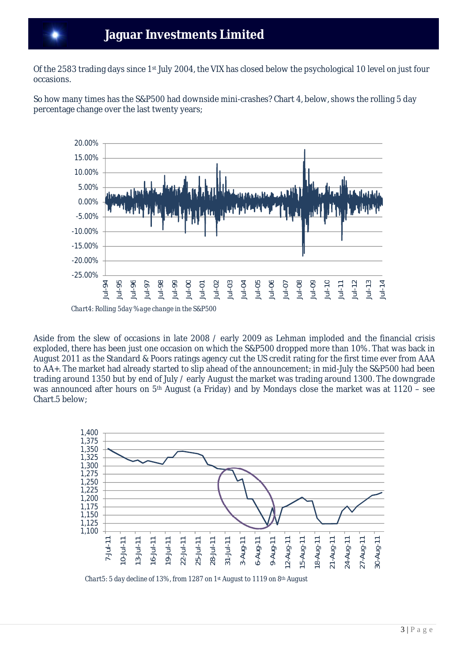Of the 2583 trading days since 1st July 2004, the VIX has closed below the psychological 10 level on just four occasions.

So how many times has the S&P500 had downside mini-crashes? Chart 4, below, shows the rolling 5 day percentage change over the last twenty years;



Aside from the slew of occasions in late 2008 / early 2009 as Lehman imploded and the financial crisis exploded, there has been just one occasion on which the S&P500 dropped more than 10%. That was back in August 2011 as the Standard & Poors ratings agency cut the US credit rating for the first time ever from AAA to AA+. The market had already started to slip ahead of the announcement; in mid-July the S&P500 had been trading around 1350 but by end of July / early August the market was trading around 1300. The downgrade was announced after hours on 5th August (a Friday) and by Mondays close the market was at 1120 – see Chart.5 below;



*Chart5: 5 day decline of 13%, from 1287 on 1st August to 1119 on 8th August*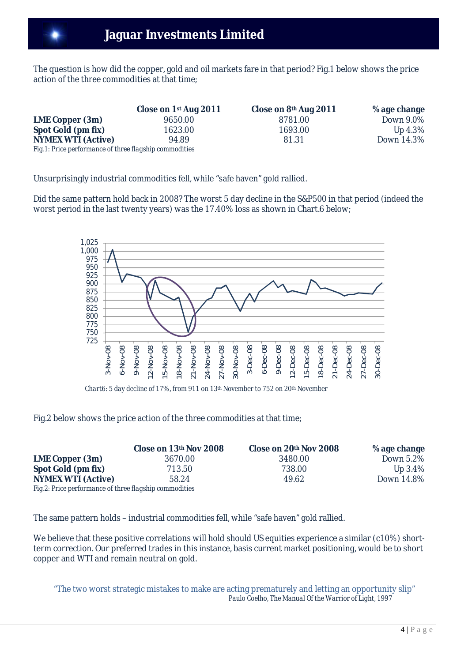The question is how did the copper, gold and oil markets fare in that period? Fig.1 below shows the price action of the three commodities at that time;

|                                                         | Close on 1 <sup>st</sup> Aug 2011 | Close on 8th Aug 2011 | %age change |
|---------------------------------------------------------|-----------------------------------|-----------------------|-------------|
| LME Copper (3m)                                         | 9650.00                           | 8781.00               | Down 9.0%   |
| Spot Gold (pm fix)                                      | 1623.00                           | 1693.00               | Up 4.3%     |
| <b>NYMEX WTI (Active)</b>                               | 94.89                             | 81.31                 | Down 14.3%  |
| Fig. 1: Price performance of three flagship commodities |                                   |                       |             |

Unsurprisingly industrial commodities fell, while "safe haven" gold rallied.

Did the same pattern hold back in 2008? The worst 5 day decline in the S&P500 in that period (indeed the worst period in the last twenty years) was the 17.40% loss as shown in Chart.6 below;



*Chart6: 5 day decline of 17%, from 911 on 13th November to 752 on 20th November*

Fig.2 below shows the price action of the three commodities at that time;

|                                                        | Close on 13th Nov 2008 | Close on 20th Nov 2008 | %age change |
|--------------------------------------------------------|------------------------|------------------------|-------------|
| LME Copper (3m)                                        | 3670.00                | 3480.00                | Down 5.2%   |
| Spot Gold (pm fix)                                     | 713.50                 | 738.00                 | Up $3.4\%$  |
| <b>NYMEX WTI (Active)</b>                              | 58.24                  | 49.62                  | Down 14.8%  |
| Fig.2: Price performance of three flagship commodities |                        |                        |             |

The same pattern holds – industrial commodities fell, while "safe haven" gold rallied.

We believe that these positive correlations will hold should US equities experience a similar (c10%) shortterm correction. Our preferred trades in this instance, basis current market positioning, would be to short copper and WTI and remain neutral on gold.

"The two worst strategic mistakes to make are acting prematurely and letting an opportunity slip"  *Paulo Coelho, The Manual Of the Warrior of Light, 1997*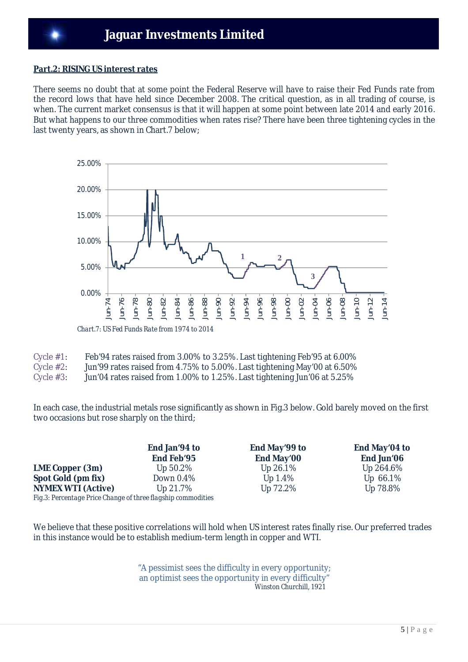#### **Part.2: RISING US interest rates**

There seems no doubt that at some point the Federal Reserve will have to raise their Fed Funds rate from the record lows that have held since December 2008. The critical question, as in all trading of course, is when. The current market consensus is that it will happen at some point between late 2014 and early 2016. But what happens to our three commodities when rates rise? There have been three tightening cycles in the last twenty years, as shown in Chart.7 below;



| Cycle $#1$ : | Feb'94 rates raised from 3.00% to 3.25%. Last tightening Feb'95 at 6.00% |  |  |
|--------------|--------------------------------------------------------------------------|--|--|
|              |                                                                          |  |  |
|              |                                                                          |  |  |

- Cycle #2: Jun'99 rates raised from 4.75% to 5.00%. Last tightening May'00 at 6.50%
- Cycle #3: Jun'04 rates raised from 1.00% to 1.25%. Last tightening Jun'06 at 5.25%

In each case, the industrial metals rose significantly as shown in Fig.3 below. Gold barely moved on the first two occasions but rose sharply on the third;

**End Jan'94 to End Feb'95 LME Copper (3m)** Up 50.2% Up 26.1% Up 264.6% **Spot Gold (pm fix)** Down 0.4% Up 1.4% Up 66.1% **NYMEX WTI (Active)** Up 21.7% Up 72.2% Up 78.8% *Fig.3: Percentage Price Change of three flagship commodities* 

**End May'99 to End May'00**

**End May'04 to End Jun'06**

We believe that these positive correlations will hold when US interest rates finally rise. Our preferred trades in this instance would be to establish medium-term length in copper and WTI.

> "A pessimist sees the difficulty in every opportunity; an optimist sees the opportunity in every difficulty"  *Winston Churchill, 1921*